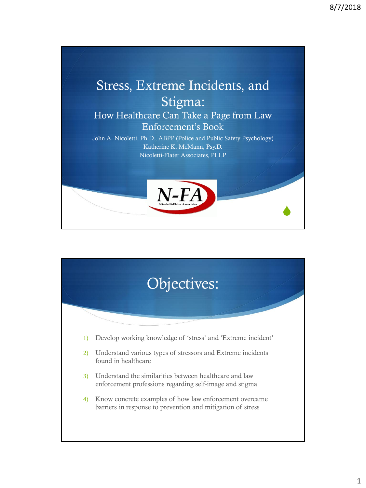

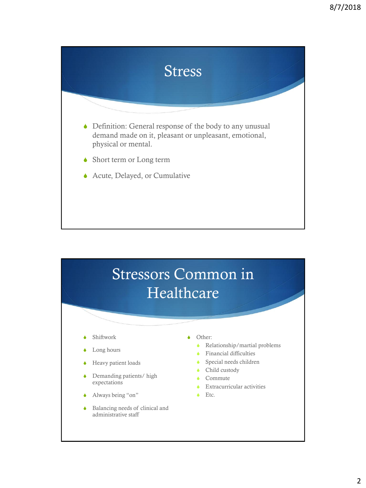

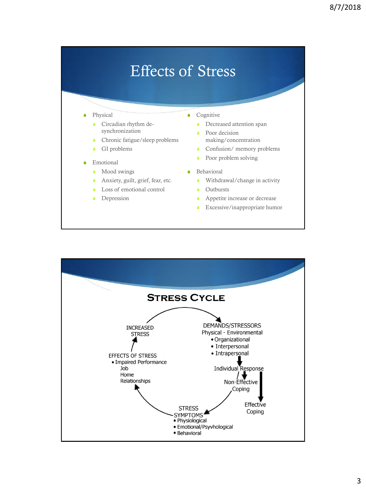#### Effects of Stress

#### $\blacklozenge$  Physical

- Circadian rhythm desynchronization
- $\triangle$  Chronic fatigue/sleep problems
- $\bullet$  GI problems
- **Emotional** 
	- $\bullet$  Mood swings
	- Anxiety, guilt, grief, fear, etc.
	- Loss of emotional control
	- Depression
- $\bullet$  Cognitive
	- $\bullet$  Decreased attention span
	- $\bullet$  Poor decision making/concentration
	- $\bullet$  Confusion/ memory problems
	- $\bullet$  Poor problem solving
- $\triangle$  Behavioral
	- $\bullet$  Withdrawal/change in activity
	- $\bullet$  Outbursts
	- Appetite increase or decrease
	- $\triangle$  Excessive/inappropriate humor

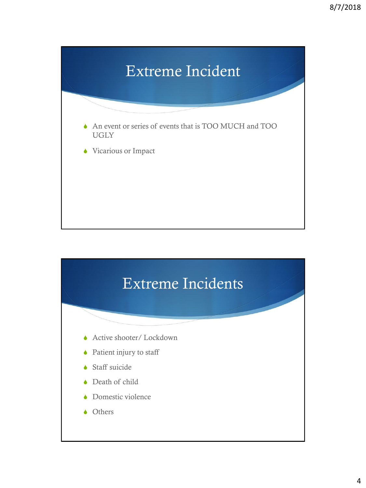

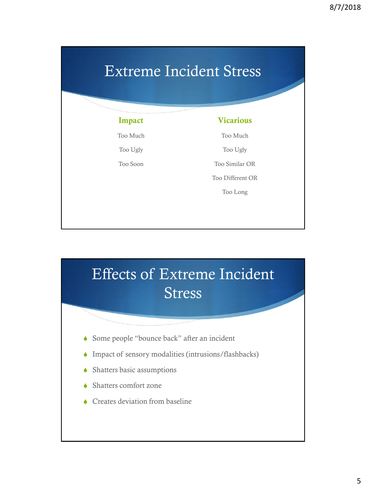### Extreme Incident Stress

Too Much

Too Ugly Too Soon

#### **Vicarious**

Too Much

Too Ugly

Too Similar OR

Too Different OR

Too Long

## Effects of Extreme Incident Stress

- Some people "bounce back" after an incident
- $\blacklozenge$  Impact of sensory modalities (intrusions/flashbacks)
- $\blacklozenge$  Shatters basic assumptions
- Shatters comfort zone
- $\triangle$  Creates deviation from baseline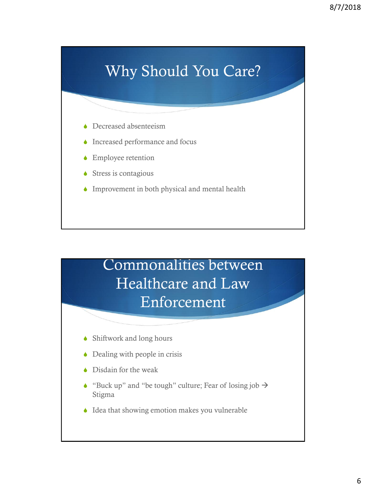### Why Should You Care?

- $\triangle$  Decreased absenteeism
- $\blacklozenge$  Increased performance and focus
- $\triangle$  Employee retention
- $\triangle$  Stress is contagious
- $\blacklozenge$  Improvement in both physical and mental health

#### Commonalities between Healthcare and Law Enforcement

- $\blacklozenge$  Shiftwork and long hours
- $\bullet$  Dealing with people in crisis
- $\bullet$  Disdain for the weak
- "Buck up" and "be tough" culture; Fear of losing job  $\rightarrow$ Stigma
- $\triangle$  Idea that showing emotion makes you vulnerable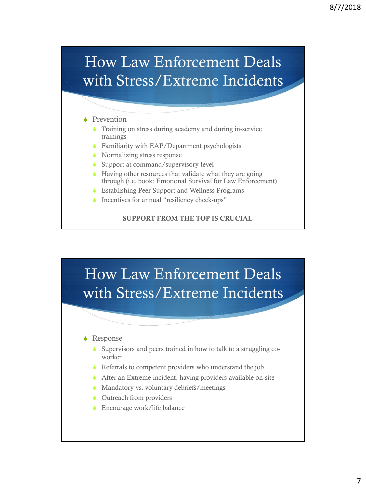### How Law Enforcement Deals with Stress/Extreme Incidents

#### $\blacklozenge$  Prevention

- $\bullet$  Training on stress during academy and during in-service trainings
- **SEAU Familiarity with EAP/Department psychologists**
- $\bullet$  Normalizing stress response
- $\bullet$  Support at command/supervisory level
- $\triangle$  Having other resources that validate what they are going through (i.e. book: Emotional Survival for Law Enforcement)
- **SECONDITION ESTABLISHING PEER Support and Wellness Programs**
- $\bullet$  Incentives for annual "resiliency check-ups"

SUPPORT FROM THE TOP IS CRUCIAL

### How Law Enforcement Deals with Stress/Extreme Incidents

#### $\triangle$  Response

- $\bullet$  Supervisors and peers trained in how to talk to a struggling coworker
- $\triangle$  Referrals to competent providers who understand the job
- $\triangle$  After an Extreme incident, having providers available on-site
- $\blacklozenge$  Mandatory vs. voluntary debriefs/meetings
- $\bullet$  Outreach from providers
- $\bullet$  Encourage work/life balance